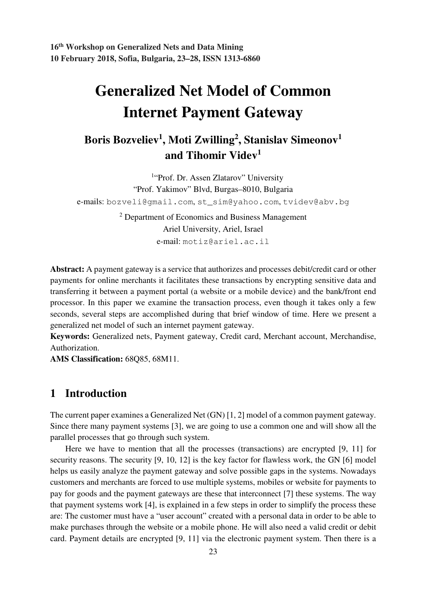**16th Workshop on Generalized Nets and Data Mining 10 February 2018, Sofia, Bulgaria, 23–28, ISSN 1313-6860** 

# **Generalized Net Model of Common Internet Payment Gateway**

# **Boris Bozveliev<sup>1</sup> , Moti Zwilling<sup>2</sup> , Stanislav Simeonov<sup>1</sup> and Tihomir Videv<sup>1</sup>**

<sup>1</sup>"Prof. Dr. Assen Zlatarov" University "Prof. Yakimov" Blvd, Burgas–8010, Bulgaria e-mails: bozveli@gmail.com, st\_sim@yahoo.com, tvidev@abv.bg

> <sup>2</sup> Department of Economics and Business Management Ariel University, Ariel, Israel e-mail: motiz@ariel.ac.il

**Abstract:** A payment gateway is a service that authorizes and processes debit/credit card or other payments for online merchants it facilitates these transactions by encrypting sensitive data and transferring it between a payment portal (a website or a mobile device) and the bank/front end processor. In this paper we examine the transaction process, even though it takes only a few seconds, several steps are accomplished during that brief window of time. Here we present a generalized net model of such an internet payment gateway.

**Keywords:** Generalized nets, Payment gateway, Credit card, Merchant account, Merchandise, Authorization.

**AMS Classification:** 68Q85, 68M11.

## **1 Introduction**

The current paper examines a Generalized Net (GN) [1, 2] model of a common payment gateway. Since there many payment systems [3], we are going to use a common one and will show all the parallel processes that go through such system.

 Here we have to mention that all the processes (transactions) are encrypted [9, 11] for security reasons. The security [9, 10, 12] is the key factor for flawless work, the GN [6] model helps us easily analyze the payment gateway and solve possible gaps in the systems. Nowadays customers and merchants are forced to use multiple systems, mobiles or website for payments to pay for goods and the payment gateways are these that interconnect [7] these systems. The way that payment systems work [4], is explained in a few steps in order to simplify the process these are: The customer must have a "user account" created with a personal data in order to be able to make purchases through the website or a mobile phone. He will also need a valid credit or debit card. Payment details are encrypted [9, 11] via the electronic payment system. Then there is a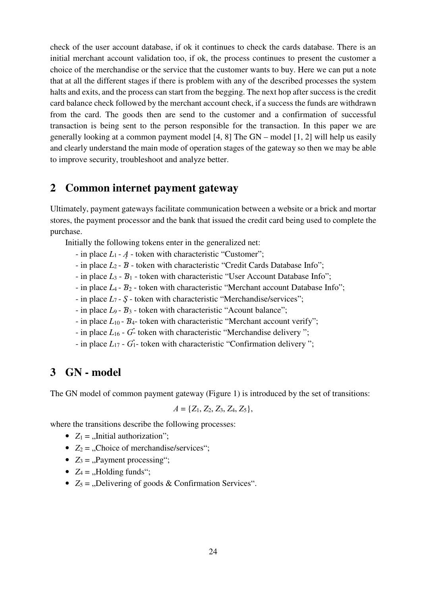check of the user account database, if ok it continues to check the cards database. There is an initial merchant account validation too, if ok, the process continues to present the customer a choice of the merchandise or the service that the customer wants to buy. Here we can put a note that at all the different stages if there is problem with any of the described processes the system halts and exits, and the process can start from the begging. The next hop after success is the credit card balance check followed by the merchant account check, if a success the funds are withdrawn from the card. The goods then are send to the customer and a confirmation of successful transaction is being sent to the person responsible for the transaction. In this paper we are generally looking at a common payment model [4, 8] The GN – model [1, 2] will help us easily and clearly understand the main mode of operation stages of the gateway so then we may be able to improve security, troubleshoot and analyze better.

#### **2 Common internet payment gateway**

Ultimately, payment gateways facilitate communication between a website or a brick and mortar stores, the payment processor and the bank that issued the credit card being used to complete the purchase.

Initially the following tokens enter in the generalized net:

- in place *L*<sub>1</sub> *A* token with characteristic "Customer";
- in place *L*2 Ɓ token with characteristic "Credit Cards Database Info";
- in place *L*3 Ɓ1 token with characteristic "User Account Database Info";
- in place *L*4 Ɓ2 token with characteristic "Merchant account Database Info";
- in place *L*7 Ş token with characteristic "Merchandise/services";
- in place *L*9 Ɓ3 token with characteristic "Acount balance";
- in place  $L_{10}$   $B_{4}$  token with characteristic "Merchant account verify";
- in place *L*<sub>16</sub> *G* token with characteristic "Merchandise delivery";
- in place  $L_{17}$   $G_1$  token with characteristic "Confirmation delivery";

#### **3 GN - model**

The GN model of common payment gateway (Figure 1) is introduced by the set of transitions:

$$
A = \{Z_1, Z_2, Z_3, Z_4, Z_5\},\
$$

where the transitions describe the following processes:

- $Z_1 =$  "Initial authorization";
- $Z_2 =$  "Choice of merchandise/services";
- $Z_3 =$ , Payment processing";
- $Z_4 =$  "Holding funds";
- $Z_5 =$  "Delivering of goods & Confirmation Services".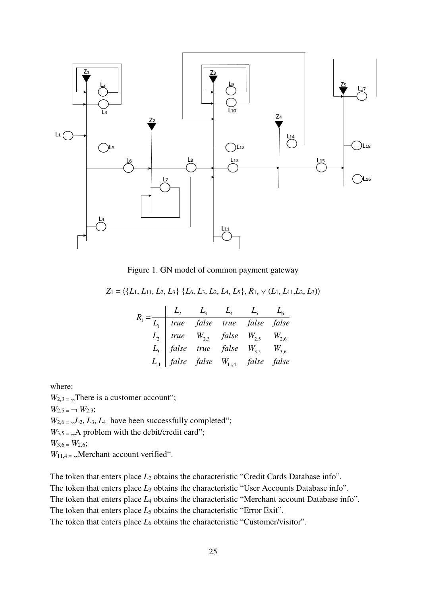

Figure 1. GN model of common payment gateway

 $Z_1 = \langle \{L_1, L_{11}, L_2, L_3\} \{L_6, L_3, L_2, L_4, L_5\}, R_1, \vee (L_1, L_{11}, L_2, L_3) \rangle$ 

|  |  | $R_1 = \frac{L_2}{L_1}$ true false true false false<br>$L_2$ true $W_{2,3}$ false $W_{2,5}$ $W_{2,6}$<br>$L_3$ false true false $W_{3,5}$ $W_{3,6}$<br>$L_{11}$ false false $W_{11,4}$ false false |  |
|--|--|----------------------------------------------------------------------------------------------------------------------------------------------------------------------------------------------------|--|
|  |  |                                                                                                                                                                                                    |  |
|  |  |                                                                                                                                                                                                    |  |

where:

 $W_{2,3}$  = ., There is a customer account";  $W_{2,5} = -W_{2,3}$ ;  $W_{2,6}$  =  $,L_2$ ,  $L_3$ ,  $L_4$  have been successfully completed";  $W_{3,5}$  = ., A problem with the debit/credit card";  $W_{3,6} = W_{2,6}$ ;  $W_{11,4}$  = "Merchant account verified".

The token that enters place  $L_2$  obtains the characteristic "Credit Cards Database info". The token that enters place  $L_3$  obtains the characteristic "User Accounts Database info". The token that enters place *L*<sub>4</sub> obtains the characteristic "Merchant account Database info". The token that enters place  $L_5$  obtains the characteristic "Error Exit". The token that enters place  $L_6$  obtains the characteristic "Customer/visitor".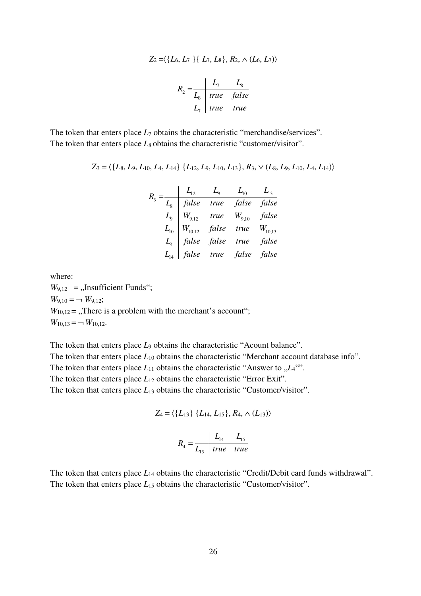$$
Z_2 = \langle \{L_6, L_7 \} \{ L_7, L_8 \}, R_2, \land (L_6, L_7) \rangle
$$
\n
$$
R_2 = \frac{L_7}{L_6} \frac{L_8}{true \ false}
$$
\n
$$
L_7 \ | true \ true
$$

The token that enters place  $L_7$  obtains the characteristic "merchandise/services". The token that enters place  $L_8$  obtains the characteristic "customer/visitor".

$$
Z_3 = \langle \{L_8, L_9, L_{10}, L_4, L_{14}\} \{L_{12}, L_9, L_{10}, L_{13}\}, R_3, \vee (L_8, L_9, L_{10}, L_4, L_{14})\rangle
$$

|  |  | $L_{12}$ $L_9$ $L_{10}$ $L_{13}$                                                                                                                                                                        |  |
|--|--|---------------------------------------------------------------------------------------------------------------------------------------------------------------------------------------------------------|--|
|  |  | $L_8$ false true false false                                                                                                                                                                            |  |
|  |  | $\begin{array}{c cc} L_9 & W_{9,12} & true & W_{9,10} & false \ L_{10} & W_{10,12} & false & true & W_{10,13} \ L_4 & false & false & true & false \ L_{14} & false & true & false & false \end{array}$ |  |
|  |  |                                                                                                                                                                                                         |  |
|  |  |                                                                                                                                                                                                         |  |
|  |  |                                                                                                                                                                                                         |  |

where:  $W_{9,12}$  = ,,Insufficient Funds";  $W_{9,10} = \neg W_{9,12}$ ;  $W_{10,12}$  = ,,There is a problem with the merchant's account";  $W_{10,13} = \neg W_{10,12}$ .

The token that enters place *L*<sub>9</sub> obtains the characteristic "Acount balance". The token that enters place  $L_{10}$  obtains the characteristic "Merchant account database info". The token that enters place  $L_{11}$  obtains the characteristic "Answer to  $L_{4}$ "". The token that enters place *L*<sub>12</sub> obtains the characteristic "Error Exit". The token that enters place  $L_{13}$  obtains the characteristic "Customer/visitor".

$$
Z_4 = \langle \{L_{13}\} \{L_{14}, L_{15}\}, R_4, \wedge (L_{13}) \rangle
$$

$$
R_4 = \frac{L_{14}}{L_{13}} \frac{L_{15}}{true} \quad true
$$

The token that enters place *L*14 obtains the characteristic "Credit/Debit card funds withdrawal". The token that enters place  $L_{15}$  obtains the characteristic "Customer/visitor".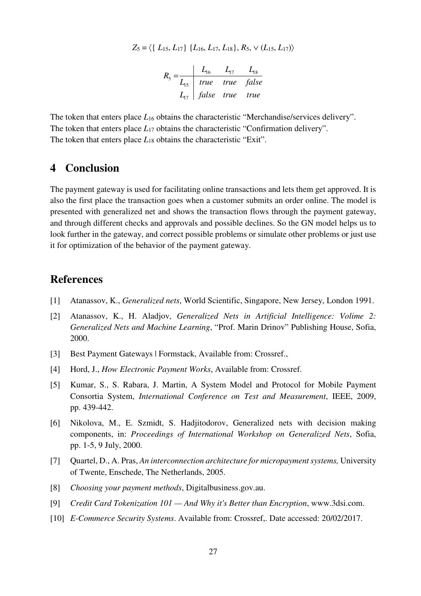$$
Z_5 = \langle \{ L_{15}, L_{17} \} \{ L_{16}, L_{17}, L_{18} \}, R_5, \vee (L_{15}, L_{17}) \rangle
$$

$$
R_{5} = \frac{L_{16}}{L_{15}} = \frac{L_{17}}{true}
$$
 *true true false*  

$$
L_{17} = false
$$
 *true true true*

The token that enters place  $L_{16}$  obtains the characteristic "Merchandise/services delivery". The token that enters place  $L_{17}$  obtains the characteristic "Confirmation delivery". The token that enters place  $L_{18}$  obtains the characteristic "Exit".

## **4 Conclusion**

The payment gateway is used for facilitating online transactions and lets them get approved. It is also the first place the transaction goes when a customer submits an order online. The model is presented with generalized net and shows the transaction flows through the payment gateway, and through different checks and approvals and possible declines. So the GN model helps us to look further in the gateway, and correct possible problems or simulate other problems or just use it for optimization of the behavior of the payment gateway.

#### **References**

- [1] Atanassov, K., *Generalized nets*, World Scientific, Singapore, New Jersey, London 1991.
- [2] Atanassov, K., H. Aladjov, *Generalized Nets in Artificial Intelligence: Volime 2: Generalized Nets and Machine Learning*, "Prof. Marin Drinov" Publishing House, Sofia, 2000.
- [3] Best Payment Gateways | Formstack, Available from: Crossref.,
- [4] Hord, J., *How Electronic Payment Works*, Available from: Crossref.
- [5] Kumar, S., S. Rabara, J. Martin, A System Model and Protocol for Mobile Payment Consortia System, *International Conference on Test and Measurement*, IEEE, 2009, pp. 439-442.
- [6] Nikolova, M., E. Szmidt, S. Hadjitodorov, Generalized nets with decision making components, in: *Proceedings of International Workshop on Generalized Nets*, Sofia, pp. 1-5, 9 July, 2000.
- [7] Quartel, D., A. Pras, *An interconnection architecture for micropayment systems,* University of Twente, Enschede, The Netherlands, 2005.
- [8] *Choosing your payment methods*, Digitalbusiness.gov.au.
- [9] *Credit Card Tokenization 101 And Why it's Better than Encryption*, www.3dsi.com.
- [10] *E-Commerce Security Systems*. Available from: Crossref,. Date accessed: 20/02/2017.